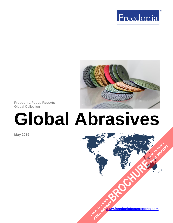



**Freedonia Focus Reports** Global Collection

# **Global Abrasives**

**May 2019**

**[www.freedoniafocusreports.com](https://www.freedoniafocusreports.com/redirect.asp?progid=89534&url=/)** CLICK TO ORDER **FULL REPORT** 

**[BROCHURE](https://www.freedoniafocusreports.com/Global-Abrasives-FW65025/?progid=89541) CLICK TO ORDER** 

**FULL REPORT**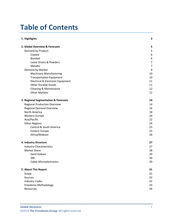# **Table of Contents**

| 1. Highlights                        |                |
|--------------------------------------|----------------|
| 2. Global Overview & Forecasts       | 5              |
| Demand by Product                    | 5              |
| Coated                               | 6              |
| <b>Bonded</b>                        | 6              |
| Loose Grains & Powders               | $\overline{7}$ |
| Metallic                             | $\overline{7}$ |
| Demand by Market                     | 9              |
| <b>Machinery Manufacturing</b>       | 10             |
| <b>Transportation Equipment</b>      | 10             |
| Electrical & Electronic Equipment    | 11             |
| <b>Other Durable Goods</b>           | 11             |
| Cleaning & Maintenance               | 12             |
| <b>Other Markets</b>                 | 12             |
| 3. Regional Segmentation & Forecasts | 14             |
| <b>Regional Production Overview</b>  | 14             |
| <b>Regional Demand Overview</b>      | 16             |
| North America                        | 18             |
| Western Europe                       | 20             |
| Asia/Pacific                         | 22             |
| <b>Other Regions</b>                 | 24             |
| Central & South America              | 25             |
| Eastern Europe                       | 25             |
| Africa/Mideast                       | 26             |
| 4. Industry Structure                | 27             |
| <b>Industry Characteristics</b>      | 27             |
| <b>Market Share</b>                  | 28             |
| Saint-Gobain                         | 29             |
| 3M                                   | 30             |
| <b>Cabot Microelectronics</b>        | 30             |
| 5. About This Report                 | 31             |
| Scope                                | 31             |
| Sources                              | 32             |
| <b>Industry Codes</b>                | 32             |
| Freedonia Methodology                | 33             |
| Resources                            | 34             |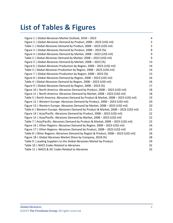# **List of Tables & Figures**

| Figure 1   Global Abrasives Market Outlook, 2018 - 2023                                | $\overline{4}$ |
|----------------------------------------------------------------------------------------|----------------|
| Figure 2   Global Abrasives Demand by Product, 2008 - 2023 (US\$ mil)                  | 5              |
| Table 1   Global Abrasives Demand by Product, 2008 - 2023 (US\$ mil)                   | 5              |
| Figure 3   Global Abrasives Demand by Product, 2008 - 2023 (%)                         | 8              |
| Figure 4   Global Abrasives Demand by Market, 2008 - 2023 (US\$ mil)                   | 9              |
| Table 2   Global Abrasives Demand by Market, 2008 - 2023 (US\$ mil)                    | 9              |
| Figure 5   Global Abrasives Demand by Market, 2008 - 2023 (%)                          | 13             |
| Figure 6   Global Abrasives Production by Region, 2008 - 2023 (US\$ mil)               | 14             |
| Table 3   Global Abrasives Production by Region, 2008 - 2023 (US\$ mil)                | 14             |
| Figure 7   Global Abrasives Production by Region, 2008 - 2023 (%)                      | 15             |
| Figure 8   Global Abrasives Demand by Region, 2008 - 2023 (US\$ mil)                   | 16             |
| Table 4   Global Abrasives Demand by Region, 2008 - 2023 (US\$ mil)                    | 16             |
| Figure 9   Global Abrasives Demand by Region, 2008 - 2023 (%)                          | 17             |
| Figure 10   North America: Abrasives Demand by Product, 2008 - 2023 (US\$ mil)         | 18             |
| Figure 11   North America: Abrasives Demand by Market, 2008 - 2023 (US\$ mil)          | 18             |
| Table 5   North America: Abrasives Demand by Product & Market, 2008 - 2023 (US\$ mil)  | 19             |
| Figure 12   Western Europe: Abrasives Demand by Product, 2008 - 2023 (US\$ mil)        | 20             |
| Figure 13   Western Europe: Abrasives Demand by Market, 2008 - 2023 (US\$ mil)         | 20             |
| Table 6   Western Europe: Abrasives Demand by Product & Market, 2008 - 2023 (US\$ mil) | 21             |
| Figure 14   Asia/Pacific: Abrasives Demand by Product, 2008 - 2023 (US\$ mil)          | 22             |
| Figure 15   Asia/Pacific: Abrasives Demand by Market, 2008 - 2023 (US\$ mil)           | 22             |
| Table 7   Asia/Pacific: Abrasives Demand by Product & Market, 2008 - 2023 (US\$ mil)   | 23             |
| Figure 16   Other Regions: Abrasives Demand by Region, 2008 - 2023 (US\$ mil)          | 24             |
| Figure 17   Other Regions: Abrasives Demand by Product, 2008 - 2023 (US\$ mil)         | 24             |
| Table 8   Other Regions: Abrasives Demand by Region & Product, 2008 - 2023 (US\$ mil)  | 26             |
| Figure 18   Global Abrasives Market Share by Company, 2018 (%)                         | 28             |
| Table 9   Leading Suppliers to the Global Abrasives Market by Product                  | 29             |
| Table 10   NACE Codes Related to Abrasives                                             | 32             |
| Table 11   NAICS & SIC Codes Related to Abrasives                                      | 32             |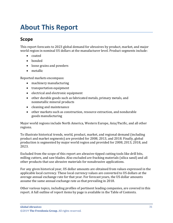# <span id="page-3-0"></span>**About This Report**

# <span id="page-3-1"></span>**Scope**

This report forecasts to 2023 global demand for abrasives by product, market, and major world region in nominal US dollars at the manufacturer level. Product segments include:

- coated
- bonded
- loose grains and powders
- metallic

Reported markets encompass:

- machinery manufacturing
- transportation equipment
- electrical and electronic equipment
- other durable goods such as fabricated metals, primary metals, and nonmetallic mineral products
- cleaning and maintenance
- other markets such as construction, resource extraction, and nondurable goods manufacturing

Major world regions include North America, Western Europe, Asia/Pacific, and all other regions.

To illustrate historical trends, world, product, market, and regional demand (including product and market segments) are provided for 2008, 2013, and 2018. Finally, global production is segmented by major world region and provided for 2008, 2013, 2018, and 2023.

Excluded from the scope of this report are abrasive-tipped cutting tools like drill bits, milling cutters, and saw blades. Also excluded are fracking materials (silica sand) and all other products that use abrasive materials for nonabrasive applications.

For any given historical year, US dollar amounts are obtained from values expressed in the applicable local currency. These local currency values are converted to US dollars at the average annual exchange rate for that year. For forecast years, the US dollar amounts assume the same annual exchange rate as that prevailing in 2018.

Other various topics, including profiles of pertinent leading companies, are covered in this report. A full outline of report items by page is available in the Table of Contents.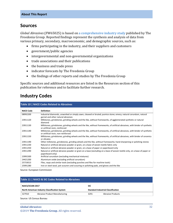## <span id="page-4-0"></span>**Sources**

*Global Abrasives* (FW65025) is based on [a comprehensive industry study](http://www.freedoniagroup.com/DocumentDetails.aspx?ReferrerId=FL-FOCUS&studyid=3727) published by The Freedonia Group. Reported findings represent the synthesis and analysis of data from various primary, secondary, macroeconomic, and demographic sources, such as:

- firms participating in the industry, and their suppliers and customers
- government/public agencies
- intergovernmental and non-governmental organizations
- trade associations and their publications
- the business and trade press
- indicator forecasts by The Freedonia Group
- the findings of other reports and studies by The Freedonia Group

Specific sources and additional resources are listed in the Resources section of this publication for reference and to facilitate further research.

# <span id="page-4-1"></span>**Industry Codes**

<span id="page-4-2"></span>

|                  | Table 10   NACE Codes Related to Abrasives                                                                                                                          |
|------------------|---------------------------------------------------------------------------------------------------------------------------------------------------------------------|
| <b>NACE Code</b> | <b>Definition</b>                                                                                                                                                   |
| 08992200         | Industrial diamonds, unworked or simply sawn, cleaved or bruted; pumice stone; emery; natural corundum, natural<br>garnet and other natural abrasives               |
| 23911120         | Millstones, grindstones, grinding wheels and the like, without frameworks, of agglomerated synthetic or natural<br>diamond                                          |
| 23911130         | Millstones, grindstones, grinding wheels and the like, without frameworks, of artificial abrasives, with binder of synthetic<br>or artificial resin, reinforced     |
| 23911140         | Millstones, grindstones, grinding wheels and the like, without frameworks, of artificial abrasives, with binder of synthetic<br>or artificial resin, non-reinforced |
| 23911150         | Millstones, grindstones, grinding wheels and the like, without frameworks, of artificial abrasives, with binder of ceramics<br>or silicates                         |
| 23911190         | Other millstones, grindstones, grinding wheels and the like, without frameworks; hand sharpening or polishing stones                                                |
| 23911230         | Natural or artificial abrasive powder or grain, on a base of woven textile fabric only                                                                              |
| 23911250         | Natural or artificial abrasive powder or grain, on a base of paper or paperboard only                                                                               |
| 23911290         | Natural or artificial abrasive powder or grain on a base (excluding on a base of woven textile only, on a base of paper or<br>paperboard only)                      |
| 23991500         | Artificial corundum (excluding mechanical mixtures)                                                                                                                 |
| 24421200         | Aluminium oxide (excluding artificial corundum)                                                                                                                     |
| 25733013         | Files, rasps and similar tools (excluding punches and files for machine tools)                                                                                      |
| 25991280         | Iron or steel wool, pot scourers and scouring or polishing pads, and gloves and the like                                                                            |

Source: European Commission

<span id="page-4-3"></span>

| Table 11   NAICS & SIC Codes Related to Abrasives |                                       |            |                                           |  |  |
|---------------------------------------------------|---------------------------------------|------------|-------------------------------------------|--|--|
| NAICS/SCIAN 2017                                  |                                       | <b>SIC</b> |                                           |  |  |
| North American Industry Classification System     |                                       |            | <b>Standard Industrial Classification</b> |  |  |
| 327910                                            | <b>Abrasive Product Manufacturing</b> | 3291       | Abrasive Products                         |  |  |
|                                                   |                                       |            |                                           |  |  |

Source: US Census Bureau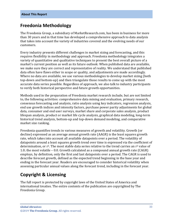# <span id="page-5-0"></span>**Freedonia Methodology**

The Freedonia Group, a subsidiary of MarketResearch.com, has been in business for more than 30 years and in that time has developed a comprehensive approach to data analysis that takes into account the variety of industries covered and the evolving needs of our customers.

Every industry presents different challenges in market sizing and forecasting, and this requires flexibility in methodology and approach. Freedonia methodology integrates a variety of quantitative and qualitative techniques to present the best overall picture of a market's current position as well as its future outlook: When published data are available, we make sure they are correct and representative of reality. We understand that published data often have flaws either in scope or quality, and adjustments are made accordingly. Where no data are available, we use various methodologies to develop market sizing (both top-down and bottom-up) and then triangulate those results to come up with the most accurate data series possible. Regardless of approach, we also talk to industry participants to verify both historical perspective and future growth opportunities.

Methods used in the preparation of Freedonia market research include, but are not limited to, the following activities: comprehensive data mining and evaluation, primary research, consensus forecasting and analysis, ratio analysis using key indicators, regression analysis, end use growth indices and intensity factors, purchase power parity adjustments for global data, consumer and end user surveys, market share and corporate sales analysis, product lifespan analysis, product or market life cycle analysis, graphical data modeling, long-term historical trend analysis, bottom-up and top-down demand modeling, and comparative market size ranking.

Freedonia quantifies trends in various measures of growth and volatility. Growth (or decline) expressed as an average annual growth rate (AAGR) is the least squares growth rate, which takes into account all available datapoints over a period. The volatility of datapoints around a least squares growth trend over time is expressed via the coefficient of determination, or  $r^2$ . The most stable data series relative to the trend carries an  $r^2$  value of 1.0; the most volatile – 0.0. Growth calculated as a compound annual growth rate (CAGR) employs, by definition, only the first and last datapoints over a period. The CAGR is used to describe forecast growth, defined as the expected trend beginning in the base year and ending in the forecast year. Readers are encouraged to consider historical volatility when assessing particular annual values along the forecast trend, including in the forecast year.

# **Copyright & Licensing**

The full report is protected by copyright laws of the United States of America and international treaties. The entire contents of the publication are copyrighted by The Freedonia Group.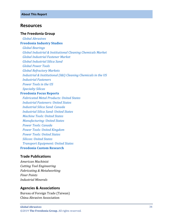## <span id="page-6-0"></span>**Resources**

#### **The Freedonia Group**

 *[Global Abrasives](http://www.freedoniagroup.com/DocumentDetails.aspx?ReferrerId=FL-FOCUS&studyid=3727)*

### **[Freedonia Industry Studies](http://www.freedoniagroup.com/Home.aspx?ReferrerId=FL-Focus)**

 *[Global Bearings](http://www.freedoniagroup.com/DocumentDetails.aspx?ReferrerId=FL-FOCUS&studyid=3684)*

 *Global Industrial & Institutional [Cleaning Chemicals Market](http://www.freedoniagroup.com/DocumentDetails.aspx?ReferrerId=FL-FOCUS&studyid=3575)*

 *[Global Industrial Fastener Market](http://www.freedoniagroup.com/DocumentDetails.aspx?ReferrerId=FL-FOCUS&studyid=3482)*

 *[Global Industrial Silica Sand](http://www.freedoniagroup.com/DocumentDetails.aspx?ReferrerId=FL-FOCUS&studyid=3664)*

 *[Global Power Tools](http://www.freedoniagroup.com/DocumentDetails.aspx?ReferrerId=FL-FOCUS&studyid=3716)*

 *[Global Refractory Markets](http://www.freedoniagroup.com/DocumentDetails.aspx?ReferrerId=FL-FOCUS&studyid=3599)*

 *[Industrial & Institutional \(I&I\) Cleaning Chemicals in the US](http://www.freedoniagroup.com/DocumentDetails.aspx?ReferrerId=FL-FOCUS&studyid=3646)*

 *[Industrial Fasteners](http://www.freedoniagroup.com/DocumentDetails.aspx?ReferrerId=FL-FOCUS&studyid=3413)*

 *[Power Tools in the US](http://www.freedoniagroup.com/DocumentDetails.aspx?ReferrerId=FL-FOCUS&studyid=3628)*

 *[Specialty Silicas](http://www.freedoniagroup.com/DocumentDetails.aspx?ReferrerId=FL-FOCUS&studyid=3368)*

#### **[Freedonia Focus Reports](https://www.freedoniafocusreports.com/redirect.asp?progid=89534&url=/)**

 *[Fabricated Metal Products: United States](https://www.freedoniafocusreports.com/Fabricated-Metal-Products-United-States-FF70027/?progid=89534) [Industrial Fasteners: United States](https://www.freedoniafocusreports.com/Industrial-Fasteners-United-States-FF70011/?progid=89534) [Industrial Silica Sand: Canada](https://www.freedoniafocusreports.com/Industrial-Silica-Sand-Canada-FA65031/?progid=89534) [Industrial Silica Sand: United States](https://www.freedoniafocusreports.com/Industrial-Silica-Sand-United-States-FF65031/?progid=89534) [Machine Tools: United States](https://www.freedoniafocusreports.com/Machine-Tools-United-States-FF75018/?progid=89534) [Manufacturing: United States](https://www.freedoniafocusreports.com/Manufacturing-United-States-FF70032/?progid=89534) [Power Tools: Canada](https://www.freedoniafocusreports.com/Power-Tools-Canada-FA75025/?progid=89534) [Power Tools: United Kingdom](https://www.freedoniafocusreports.com/Power-Tools-United-Kingdom-FB75025/?progid=89534) [Power Tools: United States](https://www.freedoniafocusreports.com/Power-Tools-United-States-FF75025/?progid=89534) [Silicon: United States](https://www.freedoniafocusreports.com/Silicon-United-States-FF65024/?progid=89534) [Transport Equipment: United States](https://www.freedoniafocusreports.com/Transport-Equipment-United-States-FF85030/?progid=89534)* **[Freedonia Custom Research](http://www.freedoniagroup.com/CustomResearch.aspx?ReferrerId=FL-Focus)**

## **Trade Publications**

*American Machinist Cutting Tool Engineering Fabricating & Metalworking Finer Points Industrial Minerals*

#### **Agencies & Associations**

Bureau of Foreign Trade (Taiwan) China Abrasive Association